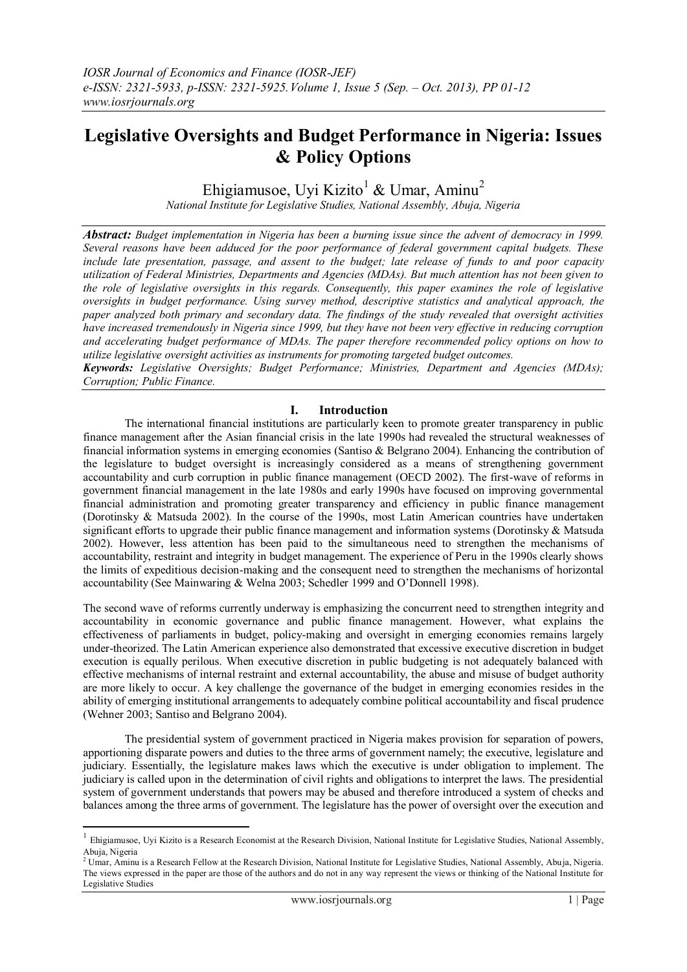# **Legislative Oversights and Budget Performance in Nigeria: Issues & Policy Options**

Ehigiamusoe, Uyi Kizito<sup>1</sup> & Umar, Aminu<sup>2</sup>

*National Institute for Legislative Studies, National Assembly, Abuja, Nigeria*

*Abstract: Budget implementation in Nigeria has been a burning issue since the advent of democracy in 1999. Several reasons have been adduced for the poor performance of federal government capital budgets. These include late presentation, passage, and assent to the budget; late release of funds to and poor capacity utilization of Federal Ministries, Departments and Agencies (MDAs). But much attention has not been given to the role of legislative oversights in this regards. Consequently, this paper examines the role of legislative oversights in budget performance. Using survey method, descriptive statistics and analytical approach, the paper analyzed both primary and secondary data. The findings of the study revealed that oversight activities have increased tremendously in Nigeria since 1999, but they have not been very effective in reducing corruption and accelerating budget performance of MDAs. The paper therefore recommended policy options on how to utilize legislative oversight activities as instruments for promoting targeted budget outcomes.* 

*Keywords: Legislative Oversights; Budget Performance; Ministries, Department and Agencies (MDAs); Corruption; Public Finance.*

## **I. Introduction**

The international financial institutions are particularly keen to promote greater transparency in public finance management after the Asian financial crisis in the late 1990s had revealed the structural weaknesses of financial information systems in emerging economies (Santiso & Belgrano 2004). Enhancing the contribution of the legislature to budget oversight is increasingly considered as a means of strengthening government accountability and curb corruption in public finance management (OECD 2002). The first-wave of reforms in government financial management in the late 1980s and early 1990s have focused on improving governmental financial administration and promoting greater transparency and efficiency in public finance management (Dorotinsky & Matsuda 2002). In the course of the 1990s, most Latin American countries have undertaken significant efforts to upgrade their public finance management and information systems (Dorotinsky & Matsuda 2002). However, less attention has been paid to the simultaneous need to strengthen the mechanisms of accountability, restraint and integrity in budget management. The experience of Peru in the 1990s clearly shows the limits of expeditious decision-making and the consequent need to strengthen the mechanisms of horizontal accountability (See Mainwaring & Welna 2003; Schedler 1999 and O"Donnell 1998).

The second wave of reforms currently underway is emphasizing the concurrent need to strengthen integrity and accountability in economic governance and public finance management. However, what explains the effectiveness of parliaments in budget, policy-making and oversight in emerging economies remains largely under-theorized. The Latin American experience also demonstrated that excessive executive discretion in budget execution is equally perilous. When executive discretion in public budgeting is not adequately balanced with effective mechanisms of internal restraint and external accountability, the abuse and misuse of budget authority are more likely to occur. A key challenge the governance of the budget in emerging economies resides in the ability of emerging institutional arrangements to adequately combine political accountability and fiscal prudence (Wehner 2003; Santiso and Belgrano 2004).

The presidential system of government practiced in Nigeria makes provision for separation of powers, apportioning disparate powers and duties to the three arms of government namely; the executive, legislature and judiciary. Essentially, the legislature makes laws which the executive is under obligation to implement. The judiciary is called upon in the determination of civil rights and obligations to interpret the laws. The presidential system of government understands that powers may be abused and therefore introduced a system of checks and balances among the three arms of government. The legislature has the power of oversight over the execution and

**.** 

 $<sup>1</sup>$  Ehigiamusoe, Uyi Kizito is a Research Economist at the Research Division, National Institute for Legislative Studies, National Assembly,</sup> Abuja, Nigeria<br><sup>2</sup> Umar, Aminu is a Research Fellow at the Research Division, National Institute for Legislative Studies, National Assembly, Abuja, Nigeria.

The views expressed in the paper are those of the authors and do not in any way represent the views or thinking of the National Institute for Legislative Studies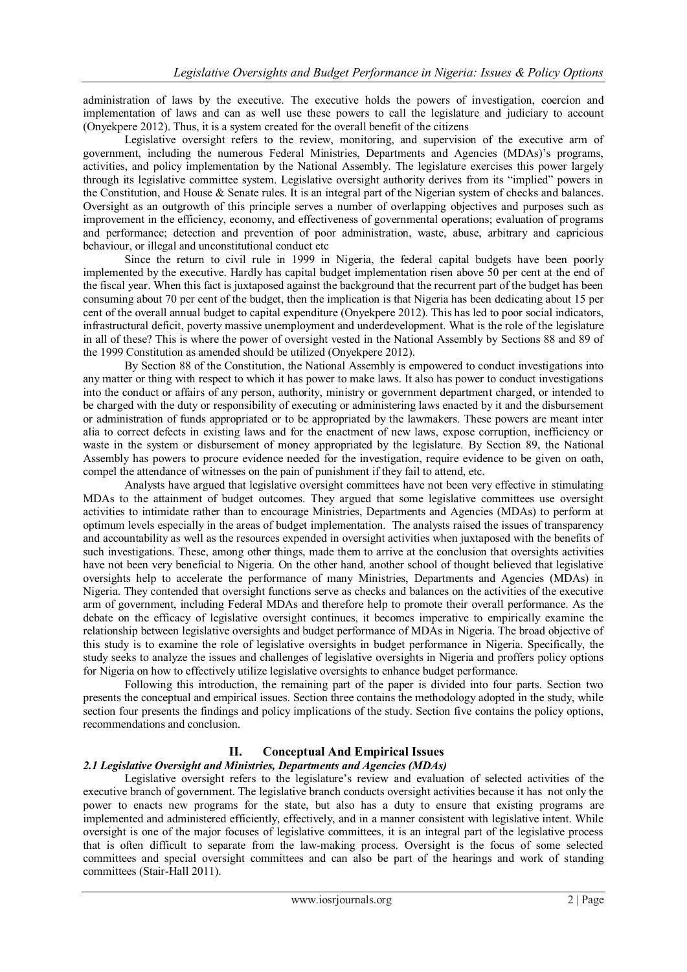administration of laws by the executive. The executive holds the powers of investigation, coercion and implementation of laws and can as well use these powers to call the legislature and judiciary to account (Onyekpere 2012). Thus, it is a system created for the overall benefit of the citizens

Legislative oversight refers to the review, monitoring, and supervision of the executive arm of government, including the numerous Federal Ministries, Departments and Agencies (MDAs)"s programs, activities, and policy implementation by the National Assembly. The legislature exercises this power largely through its legislative committee system. Legislative oversight authority derives from its "implied" powers in the Constitution, and House & Senate rules. It is an integral part of the Nigerian system of checks and balances. Oversight as an outgrowth of this principle serves a number of overlapping objectives and purposes such as improvement in the efficiency, economy, and effectiveness of governmental operations; evaluation of programs and performance; detection and prevention of poor administration, waste, abuse, arbitrary and capricious behaviour, or illegal and unconstitutional conduct etc

Since the return to civil rule in 1999 in Nigeria, the federal capital budgets have been poorly implemented by the executive. Hardly has capital budget implementation risen above 50 per cent at the end of the fiscal year. When this fact is juxtaposed against the background that the recurrent part of the budget has been consuming about 70 per cent of the budget, then the implication is that Nigeria has been dedicating about 15 per cent of the overall annual budget to capital expenditure (Onyekpere 2012). This has led to poor social indicators, infrastructural deficit, poverty massive unemployment and underdevelopment. What is the role of the legislature in all of these? This is where the power of oversight vested in the National Assembly by Sections 88 and 89 of the 1999 Constitution as amended should be utilized (Onyekpere 2012).

By Section 88 of the Constitution, the National Assembly is empowered to conduct investigations into any matter or thing with respect to which it has power to make laws. It also has power to conduct investigations into the conduct or affairs of any person, authority, ministry or government department charged, or intended to be charged with the duty or responsibility of executing or administering laws enacted by it and the disbursement or administration of funds appropriated or to be appropriated by the lawmakers. These powers are meant inter alia to correct defects in existing laws and for the enactment of new laws, expose corruption, inefficiency or waste in the system or disbursement of money appropriated by the legislature. By Section 89, the National Assembly has powers to procure evidence needed for the investigation, require evidence to be given on oath, compel the attendance of witnesses on the pain of punishment if they fail to attend, etc.

Analysts have argued that legislative oversight committees have not been very effective in stimulating MDAs to the attainment of budget outcomes. They argued that some legislative committees use oversight activities to intimidate rather than to encourage Ministries, Departments and Agencies (MDAs) to perform at optimum levels especially in the areas of budget implementation. The analysts raised the issues of transparency and accountability as well as the resources expended in oversight activities when juxtaposed with the benefits of such investigations. These, among other things, made them to arrive at the conclusion that oversights activities have not been very beneficial to Nigeria. On the other hand, another school of thought believed that legislative oversights help to accelerate the performance of many Ministries, Departments and Agencies (MDAs) in Nigeria. They contended that oversight functions serve as checks and balances on the activities of the executive arm of government, including Federal MDAs and therefore help to promote their overall performance. As the debate on the efficacy of legislative oversight continues, it becomes imperative to empirically examine the relationship between legislative oversights and budget performance of MDAs in Nigeria. The broad objective of this study is to examine the role of legislative oversights in budget performance in Nigeria. Specifically, the study seeks to analyze the issues and challenges of legislative oversights in Nigeria and proffers policy options for Nigeria on how to effectively utilize legislative oversights to enhance budget performance.

Following this introduction, the remaining part of the paper is divided into four parts. Section two presents the conceptual and empirical issues. Section three contains the methodology adopted in the study, while section four presents the findings and policy implications of the study. Section five contains the policy options, recommendations and conclusion.

## **II. Conceptual And Empirical Issues**

#### *2.1 Legislative Oversight and Ministries, Departments and Agencies (MDAs)*

Legislative oversight refers to the legislature's review and evaluation of selected activities of the executive branch of government. The legislative branch conducts oversight activities because it has not only the power to enacts new programs for the state, but also has a duty to ensure that existing programs are implemented and administered efficiently, effectively, and in a manner consistent with legislative intent. While oversight is one of the major focuses of legislative committees, it is an integral part of the legislative process that is often difficult to separate from the law-making process. Oversight is the focus of some selected committees and special oversight committees and can also be part of the hearings and work of standing committees (Stair-Hall 2011).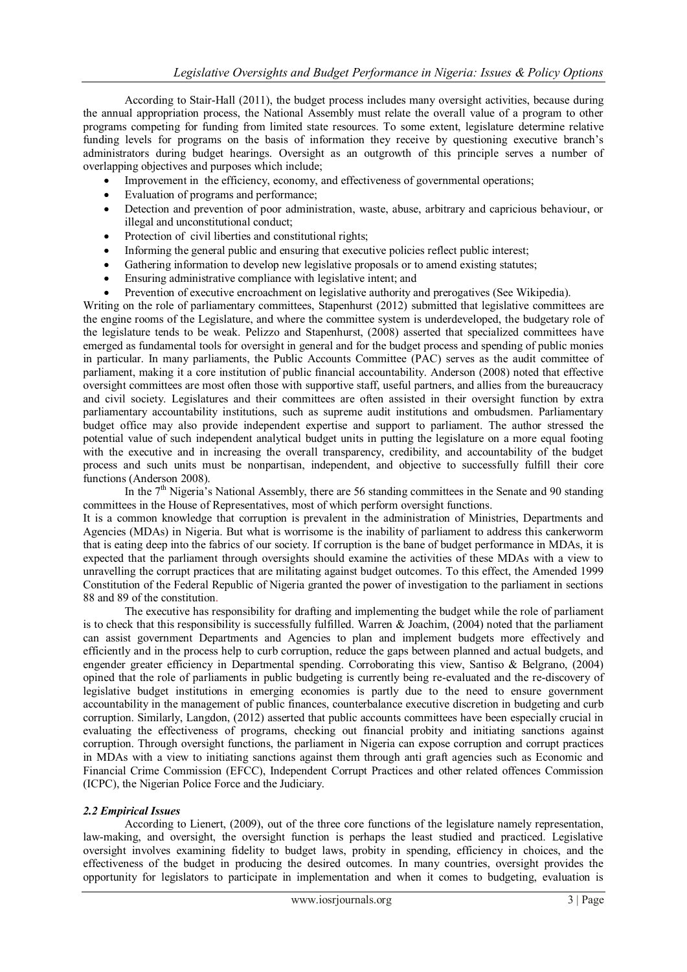According to Stair-Hall (2011), the budget process includes many oversight activities, because during the annual appropriation process, the National Assembly must relate the overall value of a program to other programs competing for funding from limited state resources. To some extent, legislature determine relative funding levels for programs on the basis of information they receive by questioning executive branch's administrators during budget hearings. Oversight as an outgrowth of this principle serves a number of overlapping objectives and purposes which include;

- Improvement in the efficiency, economy, and effectiveness of governmental operations;
- Evaluation of programs and performance;
- Detection and prevention of poor administration, waste, abuse, arbitrary and capricious behaviour, or illegal and unconstitutional conduct;
- Protection of civil liberties and constitutional rights:
- Informing the general public and ensuring that executive policies reflect public interest;
- Gathering information to develop new legislative proposals or to amend existing statutes;
- Ensuring administrative compliance with legislative intent; and
- Prevention of executive encroachment on legislative authority and prerogatives (See Wikipedia).

Writing on the role of parliamentary committees, Stapenhurst (2012) submitted that legislative committees are the engine rooms of the Legislature, and where the committee system is underdeveloped, the budgetary role of the legislature tends to be weak. Pelizzo and Stapenhurst, (2008) asserted that specialized committees have emerged as fundamental tools for oversight in general and for the budget process and spending of public monies in particular. In many parliaments, the Public Accounts Committee (PAC) serves as the audit committee of parliament, making it a core institution of public financial accountability. Anderson (2008) noted that effective oversight committees are most often those with supportive staff, useful partners, and allies from the bureaucracy and civil society. Legislatures and their committees are often assisted in their oversight function by extra parliamentary accountability institutions, such as supreme audit institutions and ombudsmen. Parliamentary budget office may also provide independent expertise and support to parliament. The author stressed the potential value of such independent analytical budget units in putting the legislature on a more equal footing with the executive and in increasing the overall transparency, credibility, and accountability of the budget process and such units must be nonpartisan, independent, and objective to successfully fulfill their core functions (Anderson 2008).

In the  $7<sup>th</sup>$  Nigeria's National Assembly, there are 56 standing committees in the Senate and 90 standing committees in the House of Representatives, most of which perform oversight functions.

It is a common knowledge that corruption is prevalent in the administration of Ministries, Departments and Agencies (MDAs) in Nigeria. But what is worrisome is the inability of parliament to address this cankerworm that is eating deep into the fabrics of our society. If corruption is the bane of budget performance in MDAs, it is expected that the parliament through oversights should examine the activities of these MDAs with a view to unravelling the corrupt practices that are militating against budget outcomes. To this effect, the Amended 1999 Constitution of the Federal Republic of Nigeria granted the power of investigation to the parliament in sections 88 and 89 of the constitution.

The executive has responsibility for drafting and implementing the budget while the role of parliament is to check that this responsibility is successfully fulfilled. Warren & Joachim,  $(2004)$  noted that the parliament can assist government Departments and Agencies to plan and implement budgets more effectively and efficiently and in the process help to curb corruption, reduce the gaps between planned and actual budgets, and engender greater efficiency in Departmental spending. Corroborating this view, Santiso & Belgrano, (2004) opined that the role of parliaments in public budgeting is currently being re-evaluated and the re-discovery of legislative budget institutions in emerging economies is partly due to the need to ensure government accountability in the management of public finances, counterbalance executive discretion in budgeting and curb corruption. Similarly, Langdon, (2012) asserted that public accounts committees have been especially crucial in evaluating the effectiveness of programs, checking out financial probity and initiating sanctions against corruption. Through oversight functions, the parliament in Nigeria can expose corruption and corrupt practices in MDAs with a view to initiating sanctions against them through anti graft agencies such as Economic and Financial Crime Commission (EFCC), Independent Corrupt Practices and other related offences Commission (ICPC), the Nigerian Police Force and the Judiciary.

## *2.2 Empirical Issues*

According to Lienert, (2009), out of the three core functions of the legislature namely representation, law-making, and oversight, the oversight function is perhaps the least studied and practiced. Legislative oversight involves examining fidelity to budget laws, probity in spending, efficiency in choices, and the effectiveness of the budget in producing the desired outcomes. In many countries, oversight provides the opportunity for legislators to participate in implementation and when it comes to budgeting, evaluation is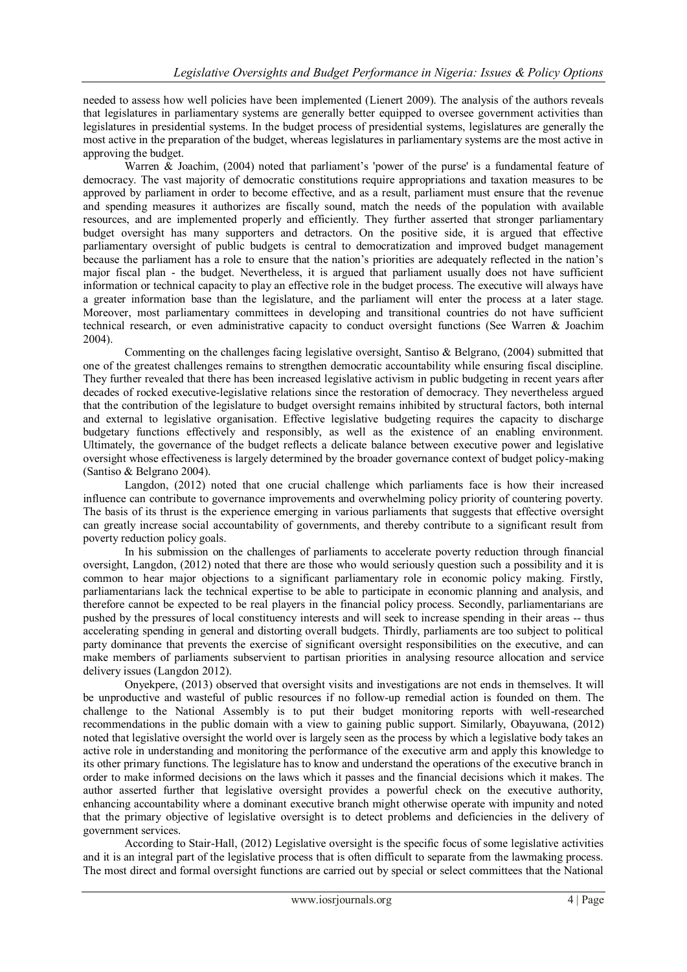needed to assess how well policies have been implemented (Lienert 2009). The analysis of the authors reveals that legislatures in parliamentary systems are generally better equipped to oversee government activities than legislatures in presidential systems. In the budget process of presidential systems, legislatures are generally the most active in the preparation of the budget, whereas legislatures in parliamentary systems are the most active in approving the budget.

Warren & Joachim, (2004) noted that parliament's 'power of the purse' is a fundamental feature of democracy. The vast majority of democratic constitutions require appropriations and taxation measures to be approved by parliament in order to become effective, and as a result, parliament must ensure that the revenue and spending measures it authorizes are fiscally sound, match the needs of the population with available resources, and are implemented properly and efficiently. They further asserted that stronger parliamentary budget oversight has many supporters and detractors. On the positive side, it is argued that effective parliamentary oversight of public budgets is central to democratization and improved budget management because the parliament has a role to ensure that the nation"s priorities are adequately reflected in the nation"s major fiscal plan - the budget. Nevertheless, it is argued that parliament usually does not have sufficient information or technical capacity to play an effective role in the budget process. The executive will always have a greater information base than the legislature, and the parliament will enter the process at a later stage. Moreover, most parliamentary committees in developing and transitional countries do not have sufficient technical research, or even administrative capacity to conduct oversight functions (See Warren & Joachim 2004).

Commenting on the challenges facing legislative oversight, Santiso & Belgrano, (2004) submitted that one of the greatest challenges remains to strengthen democratic accountability while ensuring fiscal discipline. They further revealed that there has been increased legislative activism in public budgeting in recent years after decades of rocked executive-legislative relations since the restoration of democracy. They nevertheless argued that the contribution of the legislature to budget oversight remains inhibited by structural factors, both internal and external to legislative organisation. Effective legislative budgeting requires the capacity to discharge budgetary functions effectively and responsibly, as well as the existence of an enabling environment. Ultimately, the governance of the budget reflects a delicate balance between executive power and legislative oversight whose effectiveness is largely determined by the broader governance context of budget policy-making (Santiso & Belgrano 2004).

Langdon, (2012) noted that one crucial challenge which parliaments face is how their increased influence can contribute to governance improvements and overwhelming policy priority of countering poverty. The basis of its thrust is the experience emerging in various parliaments that suggests that effective oversight can greatly increase social accountability of governments, and thereby contribute to a significant result from poverty reduction policy goals.

In his submission on the challenges of parliaments to accelerate poverty reduction through financial oversight, Langdon, (2012) noted that there are those who would seriously question such a possibility and it is common to hear major objections to a significant parliamentary role in economic policy making. Firstly, parliamentarians lack the technical expertise to be able to participate in economic planning and analysis, and therefore cannot be expected to be real players in the financial policy process. Secondly, parliamentarians are pushed by the pressures of local constituency interests and will seek to increase spending in their areas -- thus accelerating spending in general and distorting overall budgets. Thirdly, parliaments are too subject to political party dominance that prevents the exercise of significant oversight responsibilities on the executive, and can make members of parliaments subservient to partisan priorities in analysing resource allocation and service delivery issues (Langdon 2012).

Onyekpere, (2013) observed that oversight visits and investigations are not ends in themselves. It will be unproductive and wasteful of public resources if no follow-up remedial action is founded on them. The challenge to the National Assembly is to put their budget monitoring reports with well-researched recommendations in the public domain with a view to gaining public support. Similarly, Obayuwana, (2012) noted that legislative oversight the world over is largely seen as the process by which a legislative body takes an active role in understanding and monitoring the performance of the executive arm and apply this knowledge to its other primary functions. The legislature has to know and understand the operations of the executive branch in order to make informed decisions on the laws which it passes and the financial decisions which it makes. The author asserted further that legislative oversight provides a powerful check on the executive authority, enhancing accountability where a dominant executive branch might otherwise operate with impunity and noted that the primary objective of legislative oversight is to detect problems and deficiencies in the delivery of government services.

According to Stair-Hall, (2012) Legislative oversight is the specific focus of some legislative activities and it is an integral part of the legislative process that is often difficult to separate from the lawmaking process. The most direct and formal oversight functions are carried out by special or select committees that the National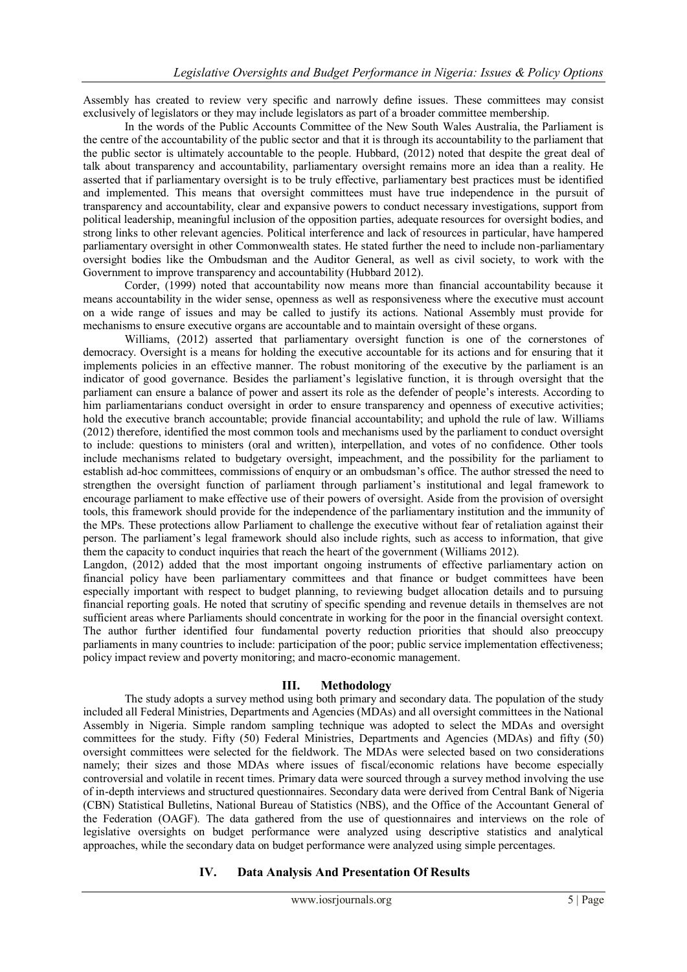Assembly has created to review very specific and narrowly define issues. These committees may consist exclusively of legislators or they may include legislators as part of a broader committee membership.

In the words of the Public Accounts Committee of the New South Wales Australia, the Parliament is the centre of the accountability of the public sector and that it is through its accountability to the parliament that the public sector is ultimately accountable to the people. Hubbard, (2012) noted that despite the great deal of talk about transparency and accountability, parliamentary oversight remains more an idea than a reality. He asserted that if parliamentary oversight is to be truly effective, parliamentary best practices must be identified and implemented. This means that oversight committees must have true independence in the pursuit of transparency and accountability, clear and expansive powers to conduct necessary investigations, support from political leadership, meaningful inclusion of the opposition parties, adequate resources for oversight bodies, and strong links to other relevant agencies. Political interference and lack of resources in particular, have hampered parliamentary oversight in other Commonwealth states. He stated further the need to include non-parliamentary oversight bodies like the Ombudsman and the Auditor General, as well as civil society, to work with the Government to improve transparency and accountability (Hubbard 2012).

Corder, (1999) noted that accountability now means more than financial accountability because it means accountability in the wider sense, openness as well as responsiveness where the executive must account on a wide range of issues and may be called to justify its actions. National Assembly must provide for mechanisms to ensure executive organs are accountable and to maintain oversight of these organs.

Williams, (2012) asserted that parliamentary oversight function is one of the cornerstones of democracy. Oversight is a means for holding the executive accountable for its actions and for ensuring that it implements policies in an effective manner. The robust monitoring of the executive by the parliament is an indicator of good governance. Besides the parliament"s legislative function, it is through oversight that the parliament can ensure a balance of power and assert its role as the defender of people"s interests. According to him parliamentarians conduct oversight in order to ensure transparency and openness of executive activities; hold the executive branch accountable; provide financial accountability; and uphold the rule of law. Williams (2012) therefore, identified the most common tools and mechanisms used by the parliament to conduct oversight to include: questions to ministers (oral and written), interpellation, and votes of no confidence. Other tools include mechanisms related to budgetary oversight, impeachment, and the possibility for the parliament to establish ad-hoc committees, commissions of enquiry or an ombudsman"s office. The author stressed the need to strengthen the oversight function of parliament through parliament"s institutional and legal framework to encourage parliament to make effective use of their powers of oversight. Aside from the provision of oversight tools, this framework should provide for the independence of the parliamentary institution and the immunity of the MPs. These protections allow Parliament to challenge the executive without fear of retaliation against their person. The parliament"s legal framework should also include rights, such as access to information, that give them the capacity to conduct inquiries that reach the heart of the government (Williams 2012).

Langdon, (2012) added that the most important ongoing instruments of effective parliamentary action on financial policy have been parliamentary committees and that finance or budget committees have been especially important with respect to budget planning, to reviewing budget allocation details and to pursuing financial reporting goals. He noted that scrutiny of specific spending and revenue details in themselves are not sufficient areas where Parliaments should concentrate in working for the poor in the financial oversight context. The author further identified four fundamental poverty reduction priorities that should also preoccupy parliaments in many countries to include: participation of the poor; public service implementation effectiveness; policy impact review and poverty monitoring; and macro-economic management.

## **III. Methodology**

The study adopts a survey method using both primary and secondary data. The population of the study included all Federal Ministries, Departments and Agencies (MDAs) and all oversight committees in the National Assembly in Nigeria. Simple random sampling technique was adopted to select the MDAs and oversight committees for the study. Fifty (50) Federal Ministries, Departments and Agencies (MDAs) and fifty (50) oversight committees were selected for the fieldwork. The MDAs were selected based on two considerations namely; their sizes and those MDAs where issues of fiscal/economic relations have become especially controversial and volatile in recent times. Primary data were sourced through a survey method involving the use of in-depth interviews and structured questionnaires. Secondary data were derived from Central Bank of Nigeria (CBN) Statistical Bulletins, National Bureau of Statistics (NBS), and the Office of the Accountant General of the Federation (OAGF). The data gathered from the use of questionnaires and interviews on the role of legislative oversights on budget performance were analyzed using descriptive statistics and analytical approaches, while the secondary data on budget performance were analyzed using simple percentages.

## **IV. Data Analysis And Presentation Of Results**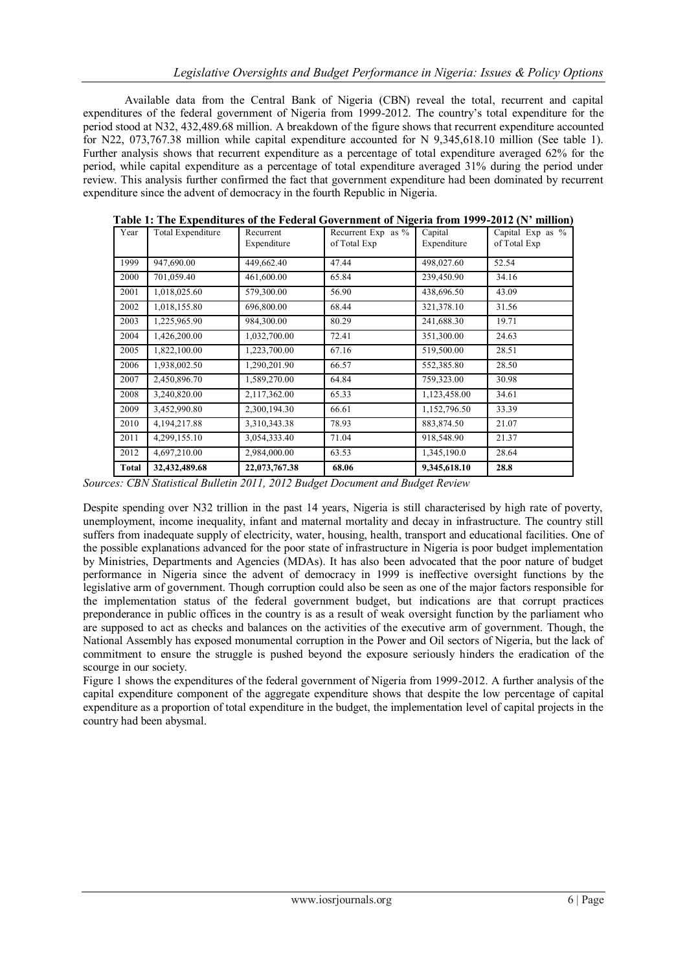Available data from the Central Bank of Nigeria (CBN) reveal the total, recurrent and capital expenditures of the federal government of Nigeria from 1999-2012. The country"s total expenditure for the period stood at N32, 432,489.68 million. A breakdown of the figure shows that recurrent expenditure accounted for N22, 073,767.38 million while capital expenditure accounted for N 9,345,618.10 million (See table 1). Further analysis shows that recurrent expenditure as a percentage of total expenditure averaged 62% for the period, while capital expenditure as a percentage of total expenditure averaged 31% during the period under review. This analysis further confirmed the fact that government expenditure had been dominated by recurrent expenditure since the advent of democracy in the fourth Republic in Nigeria.

| Year         | <b>Total Expenditure</b> | Recurrent<br>Expenditure | Recurrent Exp as %<br>of Total Exp | Capital<br>Expenditure | Capital Exp as %<br>of Total Exp |
|--------------|--------------------------|--------------------------|------------------------------------|------------------------|----------------------------------|
| 1999         | 947,690.00               | 449,662.40               | 47.44                              | 498,027.60             | 52.54                            |
| 2000         | 701,059.40               | 461,600.00               | 65.84                              | 239,450.90             | 34.16                            |
| 2001         | 1,018,025.60             | 579,300.00               | 56.90                              | 438,696.50             | 43.09                            |
| 2002         | 1,018,155.80             | 696,800.00               | 68.44                              | 321,378.10             | 31.56                            |
| 2003         | 1,225,965.90             | 984,300.00               | 80.29                              | 241,688.30             | 19.71                            |
| 2004         | 1,426,200.00             | 1,032,700.00             | 72.41                              | 351,300.00             | 24.63                            |
| 2005         | 1,822,100.00             | 1,223,700.00             | 67.16                              | 519,500.00             | 28.51                            |
| 2006         | 1,938,002.50             | 1,290,201.90             | 66.57                              | 552,385.80             | 28.50                            |
| 2007         | 2,450,896.70             | 1,589,270.00             | 64.84                              | 759,323.00             | 30.98                            |
| 2008         | 3,240,820.00             | 2,117,362.00             | 65.33                              | 1,123,458.00           | 34.61                            |
| 2009         | 3,452,990.80             | 2,300,194.30             | 66.61                              | 1,152,796.50           | 33.39                            |
| 2010         | 4,194,217.88             | 3,310,343.38             | 78.93                              | 883,874.50             | 21.07                            |
| 2011         | 4,299,155.10             | 3,054,333.40             | 71.04                              | 918,548.90             | 21.37                            |
| 2012         | 4,697,210.00             | 2,984,000.00             | 63.53                              | 1,345,190.0            | 28.64                            |
| <b>Total</b> | 32,432,489.68            | 22,073,767.38            | 68.06                              | 9,345,618.10           | 28.8                             |

**Table 1: The Expenditures of the Federal Government of Nigeria from 1999-2012 (N' million)**

*Sources: CBN Statistical Bulletin 2011, 2012 Budget Document and Budget Review* 

Despite spending over N32 trillion in the past 14 years, Nigeria is still characterised by high rate of poverty, unemployment, income inequality, infant and maternal mortality and decay in infrastructure. The country still suffers from inadequate supply of electricity, water, housing, health, transport and educational facilities. One of the possible explanations advanced for the poor state of infrastructure in Nigeria is poor budget implementation by Ministries, Departments and Agencies (MDAs). It has also been advocated that the poor nature of budget performance in Nigeria since the advent of democracy in 1999 is ineffective oversight functions by the legislative arm of government. Though corruption could also be seen as one of the major factors responsible for the implementation status of the federal government budget, but indications are that corrupt practices preponderance in public offices in the country is as a result of weak oversight function by the parliament who are supposed to act as checks and balances on the activities of the executive arm of government. Though, the National Assembly has exposed monumental corruption in the Power and Oil sectors of Nigeria, but the lack of commitment to ensure the struggle is pushed beyond the exposure seriously hinders the eradication of the scourge in our society.

Figure 1 shows the expenditures of the federal government of Nigeria from 1999-2012. A further analysis of the capital expenditure component of the aggregate expenditure shows that despite the low percentage of capital expenditure as a proportion of total expenditure in the budget, the implementation level of capital projects in the country had been abysmal.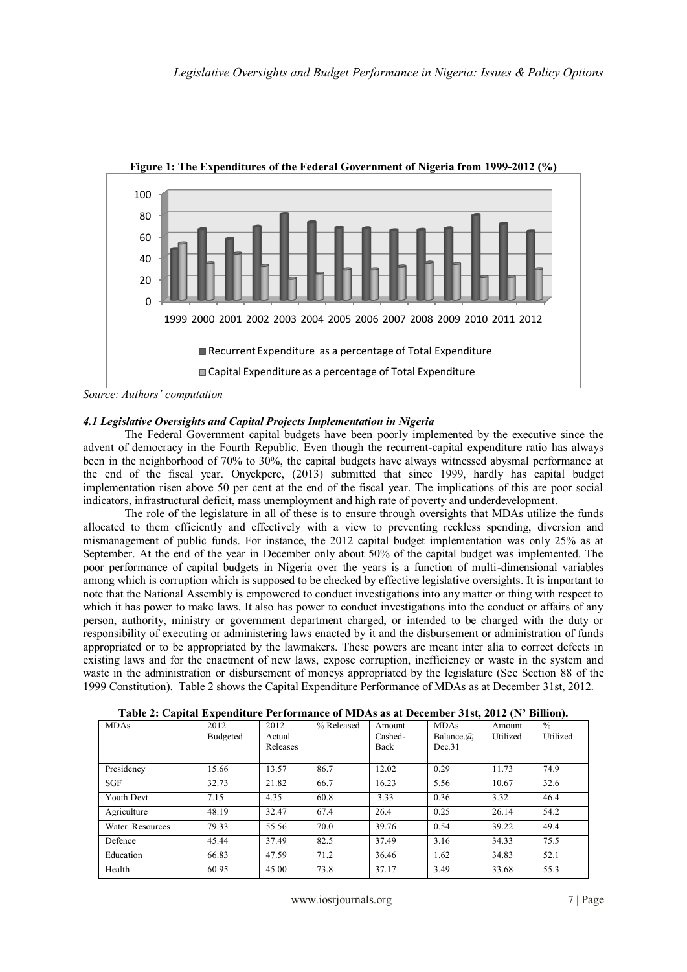

**Figure 1: The Expenditures of the Federal Government of Nigeria from 1999-2012 (%)**

## *4.1 Legislative Oversights and Capital Projects Implementation in Nigeria*

The Federal Government capital budgets have been poorly implemented by the executive since the advent of democracy in the Fourth Republic. Even though the recurrent-capital expenditure ratio has always been in the neighborhood of 70% to 30%, the capital budgets have always witnessed abysmal performance at the end of the fiscal year. Onyekpere, (2013) submitted that since 1999, hardly has capital budget implementation risen above 50 per cent at the end of the fiscal year. The implications of this are poor social indicators, infrastructural deficit, mass unemployment and high rate of poverty and underdevelopment.

The role of the legislature in all of these is to ensure through oversights that MDAs utilize the funds allocated to them efficiently and effectively with a view to preventing reckless spending, diversion and mismanagement of public funds. For instance, the 2012 capital budget implementation was only 25% as at September. At the end of the year in December only about 50% of the capital budget was implemented. The poor performance of capital budgets in Nigeria over the years is a function of multi-dimensional variables among which is corruption which is supposed to be checked by effective legislative oversights. It is important to note that the National Assembly is empowered to conduct investigations into any matter or thing with respect to which it has power to make laws. It also has power to conduct investigations into the conduct or affairs of any person, authority, ministry or government department charged, or intended to be charged with the duty or responsibility of executing or administering laws enacted by it and the disbursement or administration of funds appropriated or to be appropriated by the lawmakers. These powers are meant inter alia to correct defects in existing laws and for the enactment of new laws, expose corruption, inefficiency or waste in the system and waste in the administration or disbursement of moneys appropriated by the legislature (See Section 88 of the 1999 Constitution). Table 2 shows the Capital Expenditure Performance of MDAs as at December 31st, 2012.

| <b>MDAs</b>     | 2012     | 2012     | % Released | Amount  | $\frac{1}{2}$<br><b>MDAs</b> | Amount   | $\%$     |
|-----------------|----------|----------|------------|---------|------------------------------|----------|----------|
|                 | Budgeted | Actual   |            | Cashed- | Balance.@                    | Utilized | Utilized |
|                 |          | Releases |            | Back    | Dec.31                       |          |          |
|                 |          |          |            |         |                              |          |          |
| Presidency      | 15.66    | 13.57    | 86.7       | 12.02   | 0.29                         | 11.73    | 74.9     |
| <b>SGF</b>      | 32.73    | 21.82    | 66.7       | 16.23   | 5.56                         | 10.67    | 32.6     |
| Youth Devt      | 7.15     | 4.35     | 60.8       | 3.33    | 0.36                         | 3.32     | 46.4     |
| Agriculture     | 48.19    | 32.47    | 67.4       | 26.4    | 0.25                         | 26.14    | 54.2     |
| Water Resources | 79.33    | 55.56    | 70.0       | 39.76   | 0.54                         | 39.22    | 49.4     |
| Defence         | 45.44    | 37.49    | 82.5       | 37.49   | 3.16                         | 34.33    | 75.5     |
| Education       | 66.83    | 47.59    | 71.2       | 36.46   | 1.62                         | 34.83    | 52.1     |
| Health          | 60.95    | 45.00    | 73.8       | 37.17   | 3.49                         | 33.68    | 55.3     |

**Table 2: Capital Expenditure Performance of MDAs as at December 31st, 2012 (N' Billion).**

*Source: Authors' computation*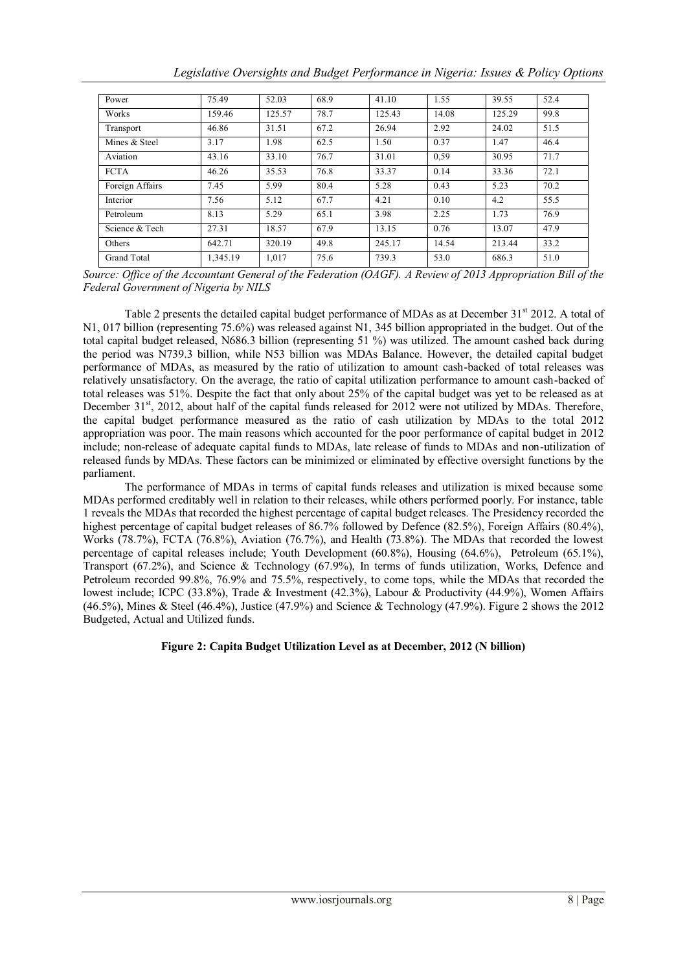| Power           | 75.49    | 52.03  | 68.9 | 41.10  | 1.55  | 39.55  | 52.4 |
|-----------------|----------|--------|------|--------|-------|--------|------|
| Works           | 159.46   | 125.57 | 78.7 | 125.43 | 14.08 | 125.29 | 99.8 |
| Transport       | 46.86    | 31.51  | 67.2 | 26.94  | 2.92  | 24.02  | 51.5 |
| Mines & Steel   | 3.17     | 1.98   | 62.5 | 1.50   | 0.37  | 1.47   | 46.4 |
| Aviation        | 43.16    | 33.10  | 76.7 | 31.01  | 0.59  | 30.95  | 71.7 |
| <b>FCTA</b>     | 46.26    | 35.53  | 76.8 | 33.37  | 0.14  | 33.36  | 72.1 |
| Foreign Affairs | 7.45     | 5.99   | 80.4 | 5.28   | 0.43  | 5.23   | 70.2 |
| Interior        | 7.56     | 5.12   | 67.7 | 4.21   | 0.10  | 4.2    | 55.5 |
| Petroleum       | 8.13     | 5.29   | 65.1 | 3.98   | 2.25  | 1.73   | 76.9 |
| Science & Tech  | 27.31    | 18.57  | 67.9 | 13.15  | 0.76  | 13.07  | 47.9 |
| Others          | 642.71   | 320.19 | 49.8 | 245.17 | 14.54 | 213.44 | 33.2 |
| Grand Total     | 1.345.19 | 1,017  | 75.6 | 739.3  | 53.0  | 686.3  | 51.0 |

*Legislative Oversights and Budget Performance in Nigeria: Issues & Policy Options*

*Source: Office of the Accountant General of the Federation (OAGF). A Review of 2013 Appropriation Bill of the Federal Government of Nigeria by NILS*

Table 2 presents the detailed capital budget performance of MDAs as at December 31<sup>st</sup> 2012. A total of N1, 017 billion (representing 75.6%) was released against N1, 345 billion appropriated in the budget. Out of the total capital budget released, N686.3 billion (representing 51 %) was utilized. The amount cashed back during the period was N739.3 billion, while N53 billion was MDAs Balance. However, the detailed capital budget performance of MDAs, as measured by the ratio of utilization to amount cash-backed of total releases was relatively unsatisfactory. On the average, the ratio of capital utilization performance to amount cash-backed of total releases was 51%. Despite the fact that only about 25% of the capital budget was yet to be released as at December 31<sup>st</sup>, 2012, about half of the capital funds released for 2012 were not utilized by MDAs. Therefore, the capital budget performance measured as the ratio of cash utilization by MDAs to the total 2012 appropriation was poor. The main reasons which accounted for the poor performance of capital budget in 2012 include; non-release of adequate capital funds to MDAs, late release of funds to MDAs and non-utilization of released funds by MDAs. These factors can be minimized or eliminated by effective oversight functions by the parliament.

The performance of MDAs in terms of capital funds releases and utilization is mixed because some MDAs performed creditably well in relation to their releases, while others performed poorly. For instance, table 1 reveals the MDAs that recorded the highest percentage of capital budget releases. The Presidency recorded the highest percentage of capital budget releases of 86.7% followed by Defence (82.5%), Foreign Affairs (80.4%), Works (78.7%), FCTA (76.8%), Aviation (76.7%), and Health (73.8%). The MDAs that recorded the lowest percentage of capital releases include; Youth Development (60.8%), Housing (64.6%), Petroleum (65.1%), Transport (67.2%), and Science & Technology (67.9%), In terms of funds utilization, Works, Defence and Petroleum recorded 99.8%, 76.9% and 75.5%, respectively, to come tops, while the MDAs that recorded the lowest include; ICPC (33.8%), Trade & Investment (42.3%), Labour & Productivity (44.9%), Women Affairs  $(46.5\%)$ , Mines & Steel  $(46.4\%)$ , Justice  $(47.9\%)$  and Science & Technology  $(47.9\%)$ . Figure 2 shows the 2012 Budgeted, Actual and Utilized funds.

# **Figure 2: Capita Budget Utilization Level as at December, 2012 (N billion)**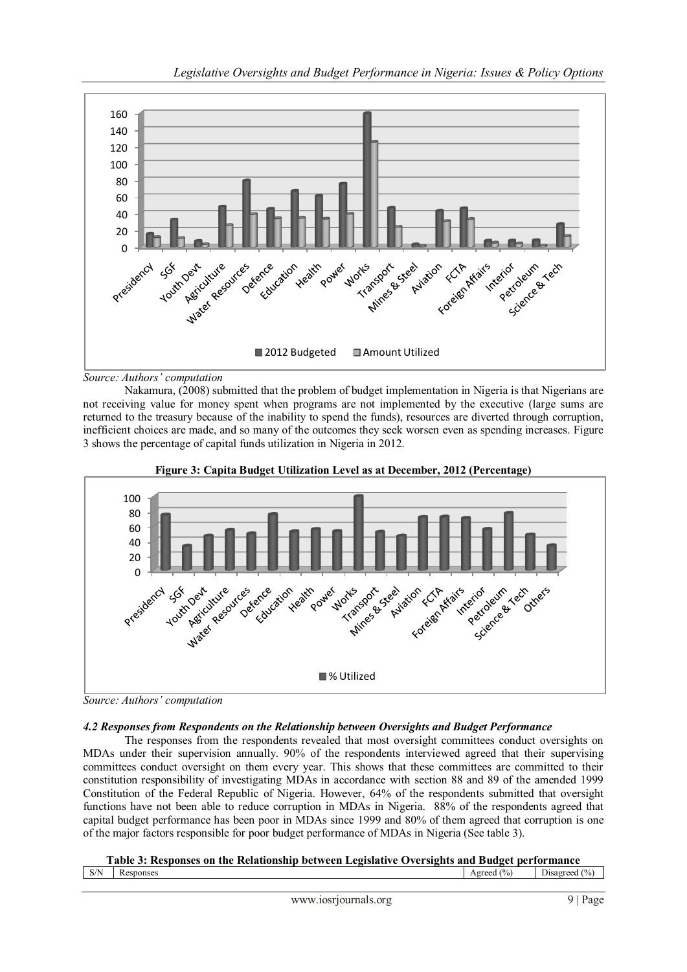

### *Source: Authors' computation*

Nakamura, (2008) submitted that the problem of budget implementation in Nigeria is that Nigerians are not receiving value for money spent when programs are not implemented by the executive (large sums are returned to the treasury because of the inability to spend the funds), resources are diverted through corruption, inefficient choices are made, and so many of the outcomes they seek worsen even as spending increases. Figure 3 shows the percentage of capital funds utilization in Nigeria in 2012.



**Figure 3: Capita Budget Utilization Level as at December, 2012 (Percentage)**

# *4.2 Responses from Respondents on the Relationship between Oversights and Budget Performance*

The responses from the respondents revealed that most oversight committees conduct oversights on MDAs under their supervision annually. 90% of the respondents interviewed agreed that their supervising committees conduct oversight on them every year. This shows that these committees are committed to their constitution responsibility of investigating MDAs in accordance with section 88 and 89 of the amended 1999 Constitution of the Federal Republic of Nigeria. However, 64% of the respondents submitted that oversight functions have not been able to reduce corruption in MDAs in Nigeria. 88% of the respondents agreed that capital budget performance has been poor in MDAs since 1999 and 80% of them agreed that corruption is one of the major factors responsible for poor budget performance of MDAs in Nigeria (See table 3).

| Table 3: Responses on the Relationship between Legislative Oversights and Budget performance |  |  |
|----------------------------------------------------------------------------------------------|--|--|
|                                                                                              |  |  |

|                   |           | - - - - - | ---------                   | -------------            |
|-------------------|-----------|-----------|-----------------------------|--------------------------|
| C/N<br><b>DII</b> | Responses |           | (0/0)<br>Agree <sup>d</sup> | -<br>(9/6)<br>Jisa greed |
|                   |           |           |                             |                          |

*Source: Authors' computation*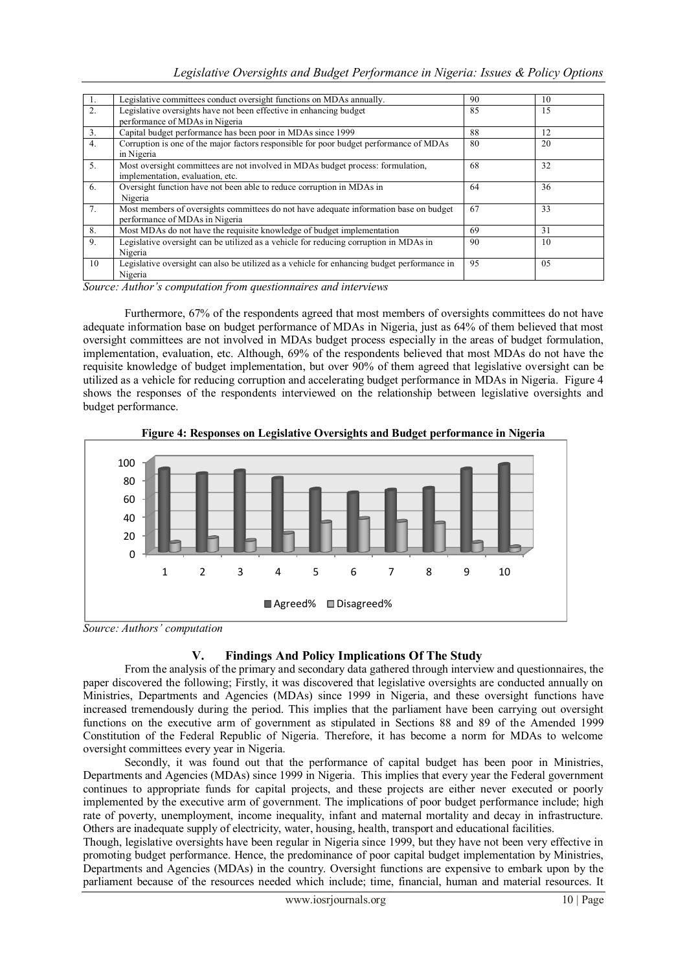| 1.             | Legislative committees conduct oversight functions on MDAs annually.                        | 90 | 10 |
|----------------|---------------------------------------------------------------------------------------------|----|----|
| 2.             | Legislative oversights have not been effective in enhancing budget                          | 85 | 15 |
|                | performance of MDAs in Nigeria                                                              |    |    |
| 3 <sub>1</sub> | Capital budget performance has been poor in MDAs since 1999                                 | 88 | 12 |
| 4.             | Corruption is one of the major factors responsible for poor budget performance of MDAs      | 80 | 20 |
|                | in Nigeria                                                                                  |    |    |
| 5.             | Most oversight committees are not involved in MDAs budget process: formulation,             | 68 | 32 |
|                | implementation, evaluation, etc.                                                            |    |    |
| 6.             | Oversight function have not been able to reduce corruption in MDAs in                       | 64 | 36 |
|                | Nigeria                                                                                     |    |    |
| 7 <sub>1</sub> | Most members of oversights committees do not have adequate information base on budget       | 67 | 33 |
|                | performance of MDAs in Nigeria                                                              |    |    |
| 8.             | Most MDAs do not have the requisite knowledge of budget implementation                      | 69 | 31 |
| 9.             | Legislative oversight can be utilized as a vehicle for reducing corruption in MDAs in       | 90 | 10 |
|                | Nigeria                                                                                     |    |    |
| 10             | Legislative oversight can also be utilized as a vehicle for enhancing budget performance in | 95 | 05 |
|                | Nigeria                                                                                     |    |    |

*Source: Author's computation from questionnaires and interviews*

Furthermore, 67% of the respondents agreed that most members of oversights committees do not have adequate information base on budget performance of MDAs in Nigeria, just as 64% of them believed that most oversight committees are not involved in MDAs budget process especially in the areas of budget formulation, implementation, evaluation, etc. Although, 69% of the respondents believed that most MDAs do not have the requisite knowledge of budget implementation, but over 90% of them agreed that legislative oversight can be utilized as a vehicle for reducing corruption and accelerating budget performance in MDAs in Nigeria. Figure 4 shows the responses of the respondents interviewed on the relationship between legislative oversights and budget performance.



**Figure 4: Responses on Legislative Oversights and Budget performance in Nigeria**

*Source: Authors' computation*

## **V. Findings And Policy Implications Of The Study**

From the analysis of the primary and secondary data gathered through interview and questionnaires, the paper discovered the following; Firstly, it was discovered that legislative oversights are conducted annually on Ministries, Departments and Agencies (MDAs) since 1999 in Nigeria, and these oversight functions have increased tremendously during the period. This implies that the parliament have been carrying out oversight functions on the executive arm of government as stipulated in Sections 88 and 89 of the Amended 1999 Constitution of the Federal Republic of Nigeria. Therefore, it has become a norm for MDAs to welcome oversight committees every year in Nigeria.

Secondly, it was found out that the performance of capital budget has been poor in Ministries, Departments and Agencies (MDAs) since 1999 in Nigeria. This implies that every year the Federal government continues to appropriate funds for capital projects, and these projects are either never executed or poorly implemented by the executive arm of government. The implications of poor budget performance include; high rate of poverty, unemployment, income inequality, infant and maternal mortality and decay in infrastructure. Others are inadequate supply of electricity, water, housing, health, transport and educational facilities.

Though, legislative oversights have been regular in Nigeria since 1999, but they have not been very effective in promoting budget performance. Hence, the predominance of poor capital budget implementation by Ministries, Departments and Agencies (MDAs) in the country. Oversight functions are expensive to embark upon by the parliament because of the resources needed which include; time, financial, human and material resources. It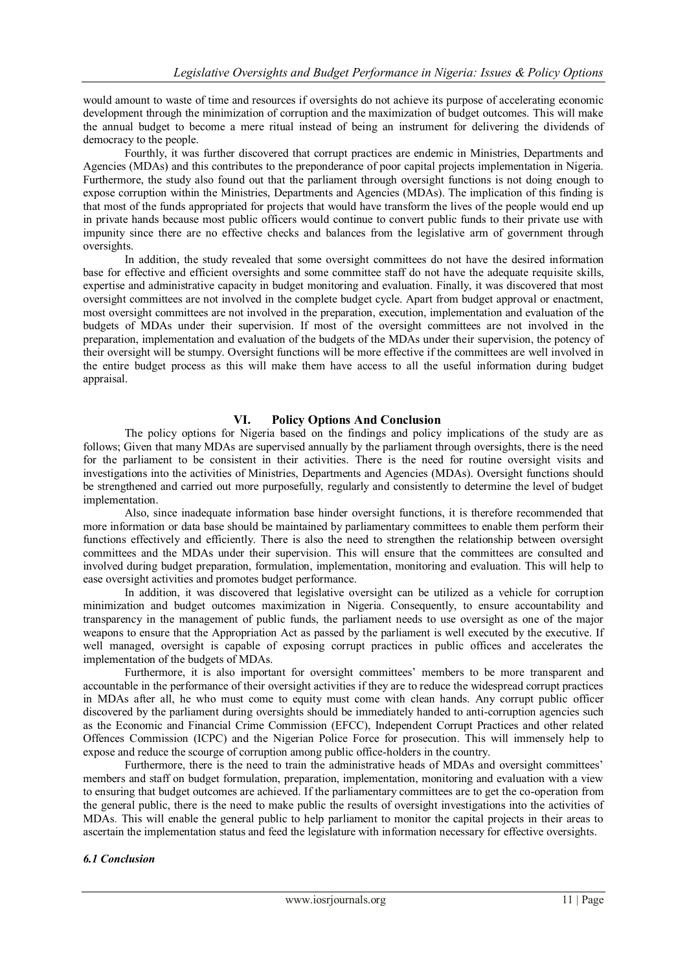would amount to waste of time and resources if oversights do not achieve its purpose of accelerating economic development through the minimization of corruption and the maximization of budget outcomes. This will make the annual budget to become a mere ritual instead of being an instrument for delivering the dividends of democracy to the people.

Fourthly, it was further discovered that corrupt practices are endemic in Ministries, Departments and Agencies (MDAs) and this contributes to the preponderance of poor capital projects implementation in Nigeria. Furthermore, the study also found out that the parliament through oversight functions is not doing enough to expose corruption within the Ministries, Departments and Agencies (MDAs). The implication of this finding is that most of the funds appropriated for projects that would have transform the lives of the people would end up in private hands because most public officers would continue to convert public funds to their private use with impunity since there are no effective checks and balances from the legislative arm of government through oversights.

In addition, the study revealed that some oversight committees do not have the desired information base for effective and efficient oversights and some committee staff do not have the adequate requisite skills, expertise and administrative capacity in budget monitoring and evaluation. Finally, it was discovered that most oversight committees are not involved in the complete budget cycle. Apart from budget approval or enactment, most oversight committees are not involved in the preparation, execution, implementation and evaluation of the budgets of MDAs under their supervision. If most of the oversight committees are not involved in the preparation, implementation and evaluation of the budgets of the MDAs under their supervision, the potency of their oversight will be stumpy. Oversight functions will be more effective if the committees are well involved in the entire budget process as this will make them have access to all the useful information during budget appraisal.

## **VI. Policy Options And Conclusion**

The policy options for Nigeria based on the findings and policy implications of the study are as follows; Given that many MDAs are supervised annually by the parliament through oversights, there is the need for the parliament to be consistent in their activities. There is the need for routine oversight visits and investigations into the activities of Ministries, Departments and Agencies (MDAs). Oversight functions should be strengthened and carried out more purposefully, regularly and consistently to determine the level of budget implementation.

Also, since inadequate information base hinder oversight functions, it is therefore recommended that more information or data base should be maintained by parliamentary committees to enable them perform their functions effectively and efficiently. There is also the need to strengthen the relationship between oversight committees and the MDAs under their supervision. This will ensure that the committees are consulted and involved during budget preparation, formulation, implementation, monitoring and evaluation. This will help to ease oversight activities and promotes budget performance.

In addition, it was discovered that legislative oversight can be utilized as a vehicle for corruption minimization and budget outcomes maximization in Nigeria. Consequently, to ensure accountability and transparency in the management of public funds, the parliament needs to use oversight as one of the major weapons to ensure that the Appropriation Act as passed by the parliament is well executed by the executive. If well managed, oversight is capable of exposing corrupt practices in public offices and accelerates the implementation of the budgets of MDAs.

Furthermore, it is also important for oversight committees' members to be more transparent and accountable in the performance of their oversight activities if they are to reduce the widespread corrupt practices in MDAs after all, he who must come to equity must come with clean hands. Any corrupt public officer discovered by the parliament during oversights should be immediately handed to anti-corruption agencies such as the Economic and Financial Crime Commission (EFCC), Independent Corrupt Practices and other related Offences Commission (ICPC) and the Nigerian Police Force for prosecution. This will immensely help to expose and reduce the scourge of corruption among public office-holders in the country.

Furthermore, there is the need to train the administrative heads of MDAs and oversight committees' members and staff on budget formulation, preparation, implementation, monitoring and evaluation with a view to ensuring that budget outcomes are achieved. If the parliamentary committees are to get the co-operation from the general public, there is the need to make public the results of oversight investigations into the activities of MDAs. This will enable the general public to help parliament to monitor the capital projects in their areas to ascertain the implementation status and feed the legislature with information necessary for effective oversights.

## *6.1 Conclusion*